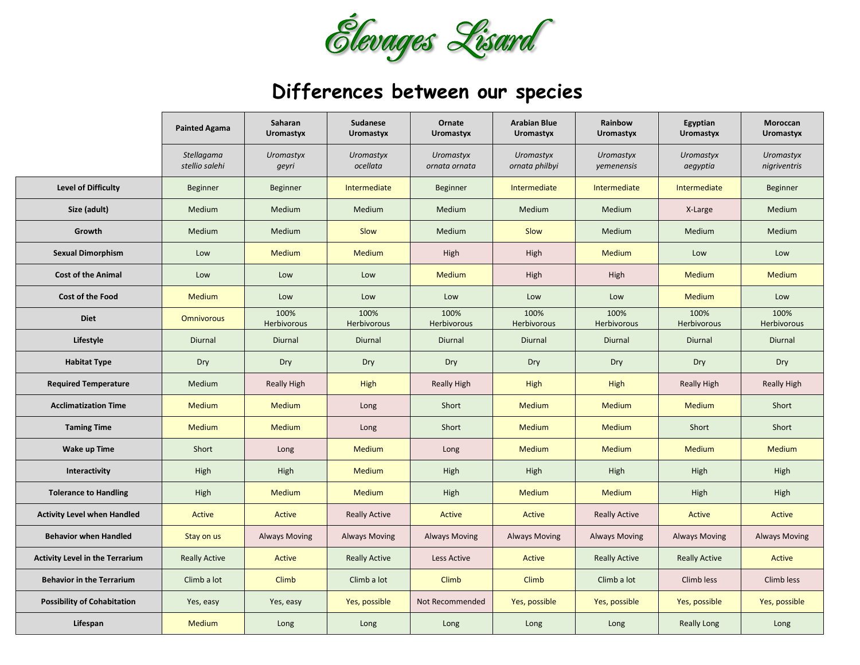

## **Differences between our species**

|                                        | <b>Painted Agama</b>         | Saharan<br><b>Uromastyx</b> | <b>Sudanese</b><br>Uromastyx | Ornate<br><b>Uromastyx</b> | <b>Arabian Blue</b><br>Uromastyx   | Rainbow<br><b>Uromastyx</b> | Egyptian<br><b>Uromastyx</b> | Moroccan<br>Uromastyx     |
|----------------------------------------|------------------------------|-----------------------------|------------------------------|----------------------------|------------------------------------|-----------------------------|------------------------------|---------------------------|
|                                        | Stellagama<br>stellio salehi | <b>Uromastyx</b><br>geyri   | Uromastyx<br>ocellata        | Uromastyx<br>ornata ornata | <b>Uromastyx</b><br>ornata philbyi | Uromastyx<br>yemenensis     | <b>Uromastyx</b><br>aegyptia | Uromastyx<br>nigriventris |
| <b>Level of Difficulty</b>             | Beginner                     | <b>Beginner</b>             | Intermediate                 | Beginner                   | Intermediate                       | Intermediate                | Intermediate                 | Beginner                  |
| Size (adult)                           | Medium                       | Medium                      | Medium                       | Medium                     | Medium                             | Medium                      | X-Large                      | Medium                    |
| Growth                                 | Medium                       | Medium                      | Slow                         | Medium                     | Slow                               | Medium                      | Medium                       | Medium                    |
| <b>Sexual Dimorphism</b>               | Low                          | Medium                      | <b>Medium</b>                | High                       | High                               | <b>Medium</b>               | Low                          | Low                       |
| <b>Cost of the Animal</b>              | Low                          | Low                         | Low                          | <b>Medium</b>              | High                               | High                        | <b>Medium</b>                | <b>Medium</b>             |
| <b>Cost of the Food</b>                | Medium                       | Low                         | Low                          | Low                        | Low                                | Low                         | <b>Medium</b>                | Low                       |
| <b>Diet</b>                            | <b>Omnivorous</b>            | 100%<br>Herbivorous         | 100%<br>Herbivorous          | 100%<br>Herbivorous        | 100%<br><b>Herbivorous</b>         | 100%<br>Herbivorous         | 100%<br><b>Herbivorous</b>   | 100%<br>Herbivorous       |
| Lifestyle                              | <b>Diurnal</b>               | Diurnal                     | Diurnal                      | Diurnal                    | Diurnal                            | Diurnal                     | Diurnal                      | Diurnal                   |
| <b>Habitat Type</b>                    | Dry                          | Dry                         | Dry                          | Dry                        | Dry                                | Dry                         | Dry                          | Dry                       |
| <b>Required Temperature</b>            | Medium                       | <b>Really High</b>          | High                         | <b>Really High</b>         | High                               | High                        | Really High                  | <b>Really High</b>        |
| <b>Acclimatization Time</b>            | Medium                       | <b>Medium</b>               | Long                         | Short                      | <b>Medium</b>                      | <b>Medium</b>               | <b>Medium</b>                | Short                     |
| <b>Taming Time</b>                     | <b>Medium</b>                | Medium                      | Long                         | Short                      | <b>Medium</b>                      | <b>Medium</b>               | Short                        | Short                     |
| <b>Wake up Time</b>                    | Short                        | Long                        | <b>Medium</b>                | Long                       | <b>Medium</b>                      | <b>Medium</b>               | <b>Medium</b>                | <b>Medium</b>             |
| Interactivity                          | High                         | High                        | <b>Medium</b>                | High                       | High                               | High                        | High                         | High                      |
| <b>Tolerance to Handling</b>           | High                         | Medium                      | <b>Medium</b>                | High                       | Medium                             | <b>Medium</b>               | High                         | High                      |
| <b>Activity Level when Handled</b>     | Active                       | Active                      | <b>Really Active</b>         | Active                     | Active                             | <b>Really Active</b>        | Active                       | Active                    |
| <b>Behavior when Handled</b>           | Stay on us                   | <b>Always Moving</b>        | <b>Always Moving</b>         | <b>Always Moving</b>       | <b>Always Moving</b>               | <b>Always Moving</b>        | <b>Always Moving</b>         | <b>Always Moving</b>      |
| <b>Activity Level in the Terrarium</b> | <b>Really Active</b>         | <b>Active</b>               | <b>Really Active</b>         | Less Active                | Active                             | <b>Really Active</b>        | <b>Really Active</b>         | Active                    |
| <b>Behavior in the Terrarium</b>       | Climb a lot                  | Climb                       | Climb a lot                  | Climb                      | <b>Climb</b>                       | Climb a lot                 | Climb less                   | Climb less                |
| <b>Possibility of Cohabitation</b>     | Yes, easy                    | Yes, easy                   | Yes, possible                | Not Recommended            | Yes, possible                      | Yes, possible               | Yes, possible                | Yes, possible             |
| Lifespan                               | Medium                       | Long                        | Long                         | Long                       | Long                               | Long                        | <b>Really Long</b>           | Long                      |